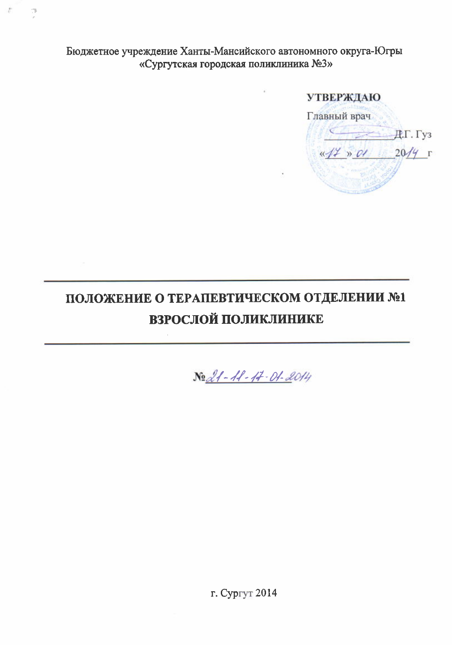Бюджетное учреждение Ханты-Мансийского автономного округа-Югры «Сургутская городская поликлиника №3»

 $\mathbb{C}^n$ 

#### **УТВЕРЖДАЮ**

Главный врач  $\overline{A}$ . Гуз  $\frac{x}{4}$   $\frac{x}{20}$   $\frac{y}{x}$  r

# ПОЛОЖЕНИЕ О ТЕРАПЕВТИЧЕСКОМ ОТДЕЛЕНИИ №1 ВЗРОСЛОЙ ПОЛИКЛИНИКЕ

No 21 - 11 - 17 - 01 - 2014

г. Сургут 2014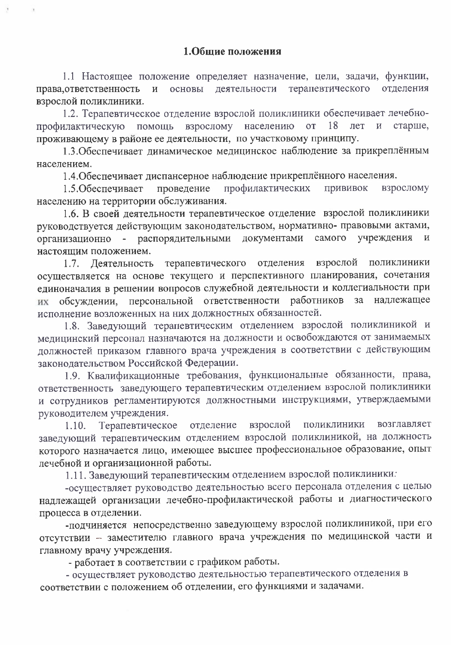1.1 Настоящее положение определяет назначение, цели, задачи, функции, основы деятельности терапевтического отделения права, ответственность  $\overline{M}$ взрослой поликлиники.

1.2. Терапевтическое отделение взрослой поликлиники обеспечивает лечебнопрофилактическую помощь взрослому населению  $\overline{O}T$ старше, 18 лет  $\overline{M}$ проживающему в районе ее деятельности, по участковому принципу.

1.3. Обеспечивает динамическое медицинское наблюдение за прикреплённым населением.

1.4. Обеспечивает диспансерное наблюдение прикреплённого населения.

профилактических проведение прививок взрослому 1.5. Обеспечивает населению на территории обслуживания.

1.6. В своей деятельности терапевтическое отделение взрослой поликлиники руководствуется действующим законодательством, нормативно- правовыми актами, организационно - распорядительными учреждения документами самого  $\overline{\mathbf{M}}$ настоящим положением.

терапевтического отделения взрослой поликлиники  $1.7.$ **Леятельность** осуществляется на основе текущего и перспективного планирования, сочетания единоначалия в решении вопросов служебной деятельности и коллегиальности при обсуждении, персональной ответственности работников  $3a$ наллежашее их исполнение возложенных на них должностных обязанностей.

1.8. Заведующий терапевтическим отделением взрослой поликлиникой и медицинский персонал назначаются на должности и освобождаются от занимаемых должностей приказом главного врача учреждения в соответствии с действующим законодательством Российской Федерации.

1.9. Квалификационные требования, функциональные обязанности, права, ответственность заведующего терапевтическим отделением взрослой поликлиники и сотрудников регламентируются должностными инструкциями, утверждаемыми руководителем учреждения.

взрослой отделение поликлиники возглавляет  $1.10.$ Терапевтическое заведующий терапевтическим отделением взрослой поликлиникой, на должность которого назначается лицо, имеющее высшее профессиональное образование, опыт лечебной и организационной работы.

1.11. Заведующий терапевтическим отделением взрослой поликлиники:

-осуществляет руководство деятельностью всего персонала отделения с целью надлежащей организации лечебно-профилактической работы и диагностического процесса в отделении.

-подчиняется непосредственно заведующему взрослой поликлиникой, при его отсутствии - заместителю главного врача учреждения по медицинской части и главному врачу учреждения.

- работает в соответствии с графиком работы.

- осуществляет руководство деятельностью терапевтического отделения в соответствии с положением об отделении, его функциями и задачами.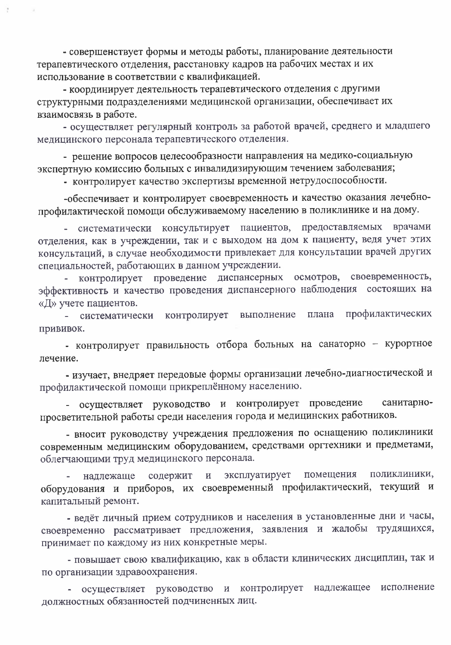- совершенствует формы и методы работы, планирование деятельности терапевтического отделения, расстановку кадров на рабочих местах и их использование в соответствии с квалификацией.

- координирует деятельность терапевтического отделения с другими структурными подразделениями медицинской организации, обеспечивает их взаимосвязь в работе.

- осуществляет регулярный контроль за работой врачей, среднего и младшего медицинского персонала терапевтического отделения.

- решение вопросов целесообразности направления на медико-социальную экспертную комиссию больных с инвалидизирующим течением заболевания;

- контролирует качество экспертизы временной нетрудоспособности.

-обеспечивает и контролирует своевременность и качество оказания лечебнопрофилактической помощи обслуживаемому населению в поликлинике и на дому.

консультирует пациентов, предоставляемых врачами систематически  $\frac{1}{2}$ отделения, как в учреждении, так и с выходом на дом к пациенту, ведя учет этих консультаций, в случае необходимости привлекает для консультации врачей других специальностей, работающих в данном учреждении.

контролирует проведение диспансерных осмотров, своевременность, эффективность и качество проведения диспансерного наблюдения состоящих на «Д» учете пациентов.

профилактических контролирует выполнение плана - систематически прививок.

- контролирует правильность отбора больных на санаторно - курортное лечение.

- изучает, внедряет передовые формы организации лечебно-диагностической и профилактической помощи прикреплённому населению.

- осуществляет руководство и контролирует проведение санитарнопросветительной работы среди населения города и медицинских работников.

- вносит руководству учреждения предложения по оснащению поликлиники современным медицинским оборудованием, средствами оргтехники и предметами, облегчающими труд медицинского персонала.

эксплуатирует помещения поликлиники, надлежаще содержит  $\mathbf H$ оборудования и приборов, их своевременный профилактический, текущий и капитальный ремонт.

- ведёт личный прием сотрудников и населения в установленные дни и часы, своевременно рассматривает предложения, заявления и жалобы трудящихся, принимает по каждому из них конкретные меры.

- повышает свою квалификацию, как в области клинических дисциплин, так и по организации здравоохранения.

осуществляет руководство и контролирует надлежащее исполнение должностных обязанностей подчиненных лиц.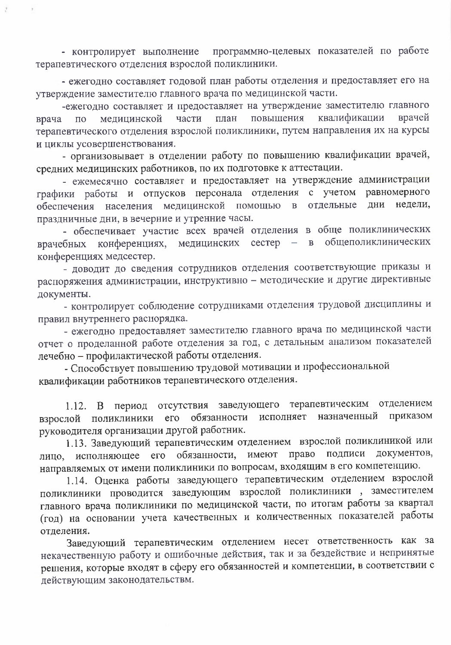программно-целевых показателей по работе - контролирует выполнение терапевтического отделения взрослой поликлиники.

- ежегодно составляет годовой план работы отделения и предоставляет его на утверждение заместителю главного врача по медицинской части.

-ежегодно составляет и предоставляет на утверждение заместителю главного квалификации повышения врачей части план врача  $\overline{10}$ медицинской терапевтического отделения взрослой поликлиники, путем направления их на курсы и циклы усовершенствования.

- организовывает в отделении работу по повышению квалификации врачей, средних медицинских работников, по их подготовке к аттестации.

- ежемесячно составляет и предоставляет на утверждение администрации графики работы и отпусков персонала отделения с учетом равномерного населения медицинской помощью в отдельные ДНИ недели. обеспечения праздничные дни, в вечерние и утренние часы.

- обеспечивает участие всех врачей отделения в обще поликлинических общеполиклинических медицинских сестер конференциях,  $\overline{\phantom{0}}$  $\overline{B}$ врачебных конференциях медсестер.

- доводит до сведения сотрудников отделения соответствующие приказы и распоряжения администрации, инструктивно - методические и другие директивные документы.

- контролирует соблюдение сотрудниками отделения трудовой дисциплины и правил внутреннего распорядка.

- ежегодно предоставляет заместителю главного врача по медицинской части отчет о проделанной работе отделения за год, с детальным анализом показателей лечебно - профилактической работы отделения.

- Способствует повышению трудовой мотивации и профессиональной квалификации работников терапевтического отделения.

1.12. В период отсутствия заведующего терапевтическим отделением приказом исполняет назначенный обязанности взрослой поликлиники  $ero$ руководителя организации другой работник.

1.13. Заведующий терапевтическим отделением взрослой поликлиникой или лицо, исполняющее его обязанности, имеют право подписи документов, направляемых от имени поликлиники по вопросам, входящим в его компетенцию.

1.14. Оценка работы заведующего терапевтическим отделением взрослой поликлиники проводится заведующим взрослой поликлиники, заместителем главного врача поликлиники по медицинской части, по итогам работы за квартал (год) на основании учета качественных и количественных показателей работы отделения.

Заведующий терапевтическим отделением несет ответственность как за некачественную работу и ошибочные действия, так и за бездействие и непринятые решения, которые входят в сферу его обязанностей и компетенции, в соответствии с действующим законодательствм.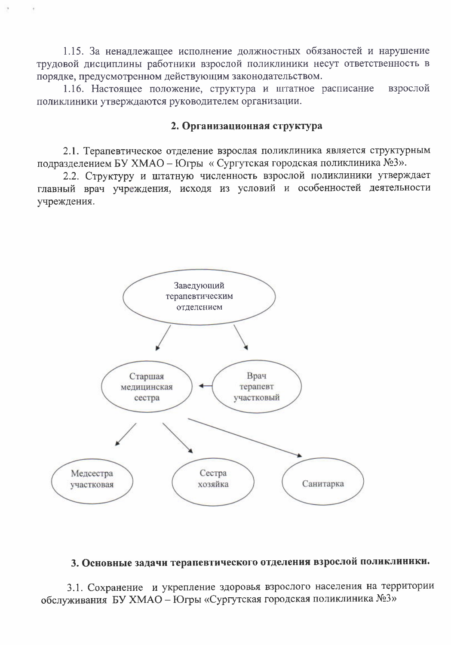1.15. За ненадлежащее исполнение должностных обязаностей и нарушение трудовой дисциплины работники взрослой поликлиники несут ответственность в порядке, предусмотренном действующим законодательством.

1.16. Настоящее положение, структура и штатное расписание взрослой поликлиники утверждаются руководителем организации.

#### 2. Организационная структура

2.1. Терапевтическое отделение взрослая поликлиника является структурным подразделением БУ ХМАО - Югры «Сургутская городская поликлиника №3».

2.2. Структуру и штатную численность взрослой поликлиники утверждает главный врач учреждения, исходя из условий и особенностей деятельности учреждения.



# 3. Основные задачи терапевтического отделения взрослой поликлиники.

3.1. Сохранение и укрепление здоровья взрослого населения на территории обслуживания БУ ХМАО - Югры «Сургутская городская поликлиника №3»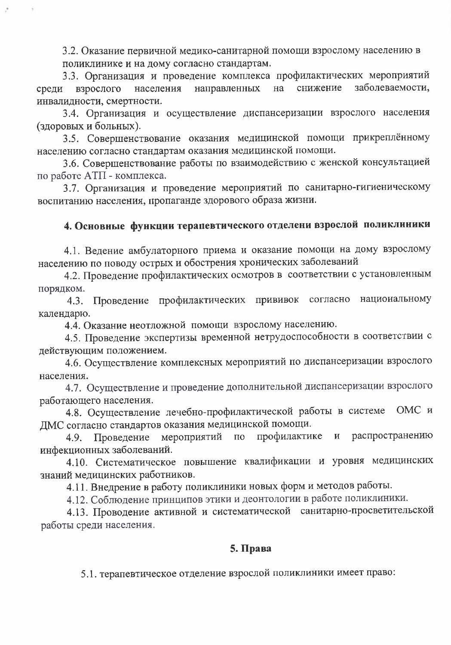3.2. Оказание первичной медико-санитарной помощи взрослому населению в поликлинике и на дому согласно стандартам.

3.3. Организация и проведение комплекса профилактических мероприятий снижение заболеваемости. взрослого населения направленных на среди инвалидности, смертности.

3.4. Организация и осуществление диспансеризации взрослого населения (здоровых и больных).

3.5. Совершенствование оказания медицинской помощи прикреплённому населению согласно стандартам оказания медицинской помощи.

3.6. Совершенствование работы по взаимодействию с женской консультацией по работе АТП - комплекса.

3.7. Организация и проведение мероприятий по санитарно-гигиеническому воспитанию населения, пропаганде здорового образа жизни.

# 4. Основные функции терапевтического отделени взрослой поликлиники

4.1. Ведение амбулаторного приема и оказание помощи на дому взрослому населению по поводу острых и обострения хронических заболеваний

4.2. Проведение профилактических осмотров в соответствии с установленным порядком.

4.3. Проведение профилактических прививок согласно национальному календарю.

4.4. Оказание неотложной помощи взрослому населению.

4.5. Проведение экспертизы временной нетрудоспособности в соответствии с действующим положением.

4.6. Осуществление комплексных мероприятий по диспансеризации взрослого населения.

4.7. Осуществление и проведение дополнительной диспансеризации взрослого работающего населения.

4.8. Осуществление лечебно-профилактической работы в системе ОМС и ДМС согласно стандартов оказания медицинской помощи.

распространению мероприятий  $\Pi 0$ профилактике  $\mathbf{M}$ Проведение 4.9. инфекционных заболеваний.

4.10. Систематическое повышение квалификации и уровня медицинских знаний медицинских работников.

4.11. Внедрение в работу поликлиники новых форм и методов работы.

4.12. Соблюдение принципов этики и деонтологии в работе поликлиники.

4.13. Проводение активной и систематической санитарно-просветительской работы среди населения.

# 5. Права

5.1. терапевтическое отделение взрослой поликлиники имеет право: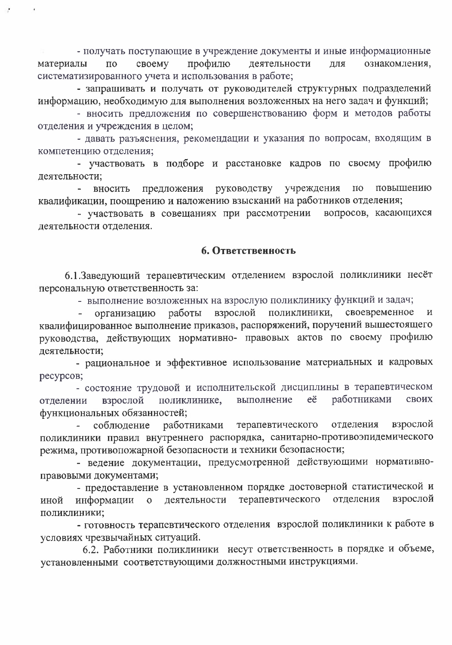- получать поступающие в учреждение документы и иные информационные профилю деятельности материалы  $\Pi{\rm O}$ своему ДЛЯ ознакомления, систематизированного учета и использования в работе;

- запрашивать и получать от руководителей структурных подразделений информацию, необходимую для выполнения возложенных на него задач и функций;

- вносить предложения по совершенствованию форм и методов работы отделения и учреждения в целом;

- давать разъяснения, рекомендации и указания по вопросам, входящим в компетенцию отделения;

- участвовать в подборе и расстановке кадров по своему профилю деятельности;

вносить предложения руководству учреждения по повышению квалификации, поощрению и наложению взысканий на работников отделения;

- участвовать в совещаниях при рассмотрении вопросов, касающихся деятельности отделения.

#### 6. Ответственность

6.1. Заведующий терапевтическим отделением взрослой поликлиники несёт персональную ответственность за:

- выполнение возложенных на взрослую поликлинику функций и задач;

поликлиники, своевременное организацию работы взрослой И квалифицированное выполнение приказов, распоряжений, поручений вышестоящего руководства, действующих нормативно- правовых актов по своему профилю деятельности;

- рациональное и эффективное использование материальных и кадровых ресурсов;

- состояние трудовой и исполнительской дисциплины в терапевтическом работниками выполнение eë своих взрослой поликлинике, отделении функциональных обязанностей;

взрослой соблюдение работниками терапевтического отделения поликлиники правил внутреннего распорядка, санитарно-противоэпидемического режима, противопожарной безопасности и техники безопасности;

- ведение документации, предусмотренной действующими нормативноправовыми документами;

- предоставление в установленном порядке достоверной статистической и терапевтического отделения взрослой деятельности иной информации  $\overline{O}$ поликлиники;

- готовность терапевтического отделения взрослой поликлиники к работе в условиях чрезвычайных ситуаций.

6.2. Работники поликлиники несут ответственность в порядке и объеме, установленными соответствующими должностными инструкциями.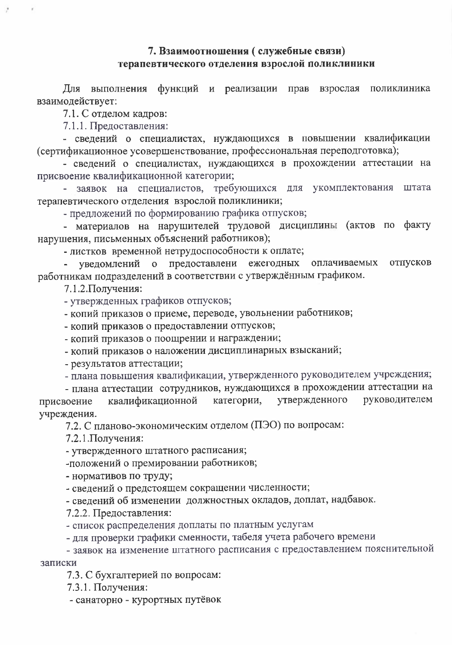# 7. Взаимоотношения (служебные связи) терапевтического отделения взрослой поликлиники

Для выполнения функций и реализации прав взрослая поликлиника взаимодействует:

7.1. С отделом кадров:

7.1.1. Предоставления:

- сведений о специалистах, нуждающихся в повышении квалификации (сертификационное усовершенствование, профессиональная переподготовка);

- сведений о специалистах, нуждающихся в прохождении аттестации на присвоение квалификационной категории;

заявок на специалистов, требующихся для укомплектования штата терапевтического отделения взрослой поликлиники;

- предложений по формированию графика отпусков;

- материалов на нарушителей трудовой дисциплины (актов по факту нарушения, письменных объяснений работников);

- листков временной нетрудоспособности к оплате;

предоставлени ежегодных отпусков уведомлений  $\mathbf{O}$ оплачиваемых работникам подразделений в соответствии с утверждённым графиком.

7.1.2. Получения:

- утвержденных графиков отпусков;

- копий приказов о приеме, переводе, увольнении работников;

- копий приказов о предоставлении отпусков;

- копий приказов о поощрении и награждении;

- копий приказов о наложении дисциплинарных взысканий;

- результатов аттестации;

- плана повышения квалификации, утвержденного руководителем учреждения;

- плана аттестации сотрудников, нуждающихся в прохождении аттестации на утвержденного руководителем квалификационной категории, присвоение учреждения.

7.2. С планово-экономическим отделом (ПЭО) по вопросам:

7.2.1. Получения:

- утвержденного штатного расписания;

-положений о премировании работников;

- нормативов по труду;

- сведений о предстоящем сокращении численности;

- сведений об изменении должностных окладов, доплат, надбавок.

7.2.2. Предоставления:

- список распределения доплаты по платным услугам

- для проверки графики сменности, табеля учета рабочего времени

- заявок на изменение штатного расписания с предоставлением пояснительной записки

7.3. С бухгалтерией по вопросам:

7.3.1. Получения:

- санаторно - курортных путёвок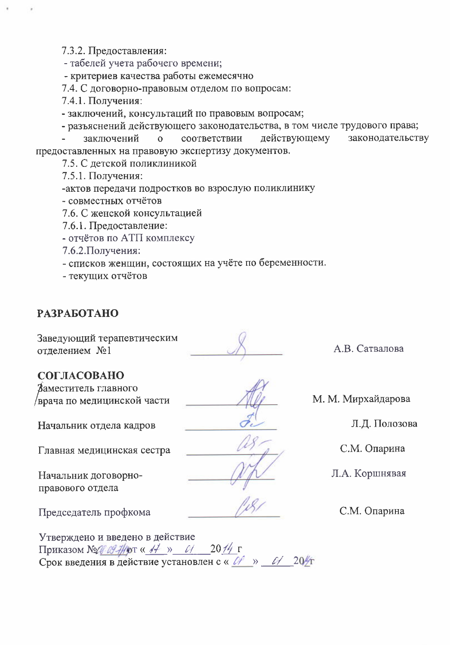7.3.2. Предоставления:

- табелей учета рабочего времени;

- критериев качества работы ежемесячно

7.4. С договорно-правовым отделом по вопросам:

7.4.1. Получения:

- заключений, консультаций по правовым вопросам;

- разъяснений действующего законодательства, в том числе трудового права;

заключений действующему законодательству  $\Omega$ соответствии предоставленных на правовую экспертизу документов.

- 7.5. С детской поликлиникой
- 7.5.1. Получения:
- -актов передачи подростков во взрослую поликлинику
- совместных отчётов
- 7.6. С женской консультацией
- 7.6.1. Предоставление:

- отчётов по АТП комплексу

7.6.2. Получения:

- списков женщин, состоящих на учёте по беременности.

- текущих отчётов

#### **РАЗРАБОТАНО**

Заведующий терапевтическим отделением №1

# СОГЛАСОВАНО

Заместитель главного /врача по медицинской части

Начальник отдела кадров

Главная медицинская сестра

Начальник договорноправового отдела

Председатель профкома

Утверждено и введено в действие Приказом №1% 09-7/10 г « 1+ » 01 2014 г Срок введения в действие установлен с « И » И 20/т

А.В. Сатвалова

М. М. Мирхайдарова

Л.Д. Полозова

С.М. Опарина

Л.А. Коршнявая

С.М. Опарина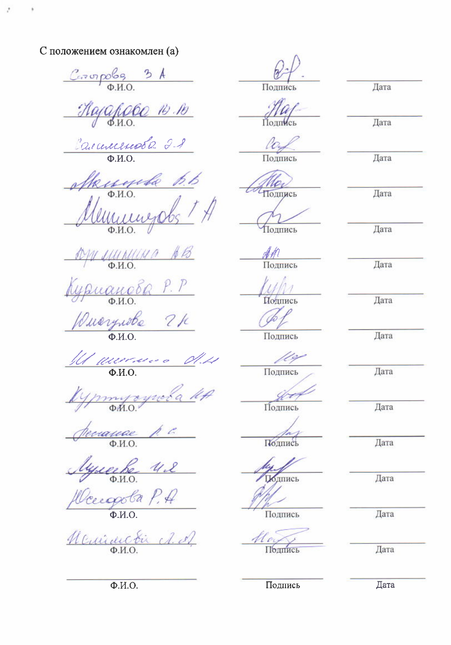С положением ознакомлен (а)

 $C_{cr}$  or poles  $34$ Hajahobo 14 16 Carmerseobe 21 Mengungols 1 A SOM MUNICHA AB Курианова Р. Р *Duarynobe* 2k 11 anniers du lypmyayroba let perance p.c lyneek U.S. fleugola P.A Neuranctic A. A.

 $\frac{g}{\text{I}^{\text{I}}\text{I}^{\text{I}}\text{I}^{\text{I}}\text{I}^{\text{I}}\text{I}^{\text{I}}\text{I}^{\text{I}}\text{I}^{\text{I}}\text{I}^{\text{I}}\text{I}^{\text{I}}\text{I}^{\text{I}}\text{I}^{\text{I}}\text{I}^{\text{I}}\text{I}^{\text{I}}\text{I}^{\text{I}}\text{I}^{\text{I}}\text{I}^{\text{I}}\text{I}^{\text{I}}\text{I}^{\text{I}}\text{I}^{\text{I}}\text{I}^$ 

Подпись

Uo. Тодпись

Подпись

AM

Полпись

/<br>Ц∕∕∏<br>Подпись

Подпись

100 Подпись

800

Подпись

Полпись

Полпись

Подпись

Подпись

Дата

Дата

Дата

Дата

Дата

Дата

Дата

Дата

Дата

Дата

Дата

Дата

Дата

Дата

Подпись

Дата

 $\Phi$ <sub>M.O</sub>.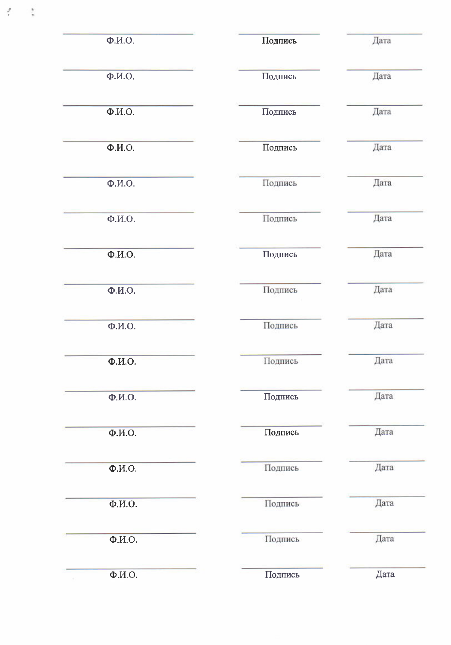| Ф.И.О.                  | Подпись | Дата |
|-------------------------|---------|------|
| $\overline{\Phi.M.O.}$  | Подпись | Дата |
| $\Phi$ <sub>M</sub> .O. | Подпись | Дата |
| $\Phi$ <sub>M</sub> .O. | Подпись | Дата |
| $\Phi$ . <i>H</i> .O.   | Подпись | Дата |
| $\overline{\Phi.M.O.}$  | Подпись | Дата |
| $\Phi$ <sub>M</sub> .O. | Подпись | Дата |
| Ф.И.О.                  | Подпись | Дата |
| $\Phi$ . <i>H</i> .O.   | Подпись | Дата |
| $\Phi$ . <i>H</i> .O.   | Подпись | Дата |
| Ф.И.О.                  | Подпись | Дата |
| Ф.И.О.                  | Подпись | Дата |
| $\Phi$ <sub>M.O</sub> . | Подпись | Дата |
| $\Phi$ <sub>M</sub> .O. | Подпись | Дата |
| $\Phi$ <sub>M.O</sub> . | Подпись | Дата |
| $\Phi$ <sub>M.</sub> O. | Подпись | Дата |

f

î,